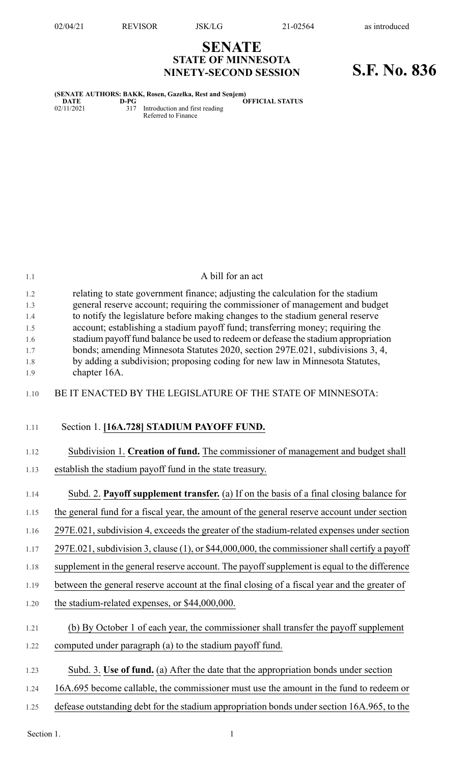**SENATE STATE OF MINNESOTA**

## **NINETY-SECOND SESSION S.F. No. 836**

|      | (SENATE AUTHORS: BAKK, Rosen, Gazelka, Rest and Senjem) |                        |
|------|---------------------------------------------------------|------------------------|
| DATE | D-PG                                                    | <b>OFFICIAL STATUS</b> |

02/11/2021 317 Introduction and first reading Referred to Finance

| 1.1                                                  | A bill for an act                                                                                                                                                                                                                                                                                                                                                                                                                                                                                                                                                                                          |
|------------------------------------------------------|------------------------------------------------------------------------------------------------------------------------------------------------------------------------------------------------------------------------------------------------------------------------------------------------------------------------------------------------------------------------------------------------------------------------------------------------------------------------------------------------------------------------------------------------------------------------------------------------------------|
| 1.2<br>1.3<br>1.4<br>1.5<br>1.6<br>1.7<br>1.8<br>1.9 | relating to state government finance; adjusting the calculation for the stadium<br>general reserve account; requiring the commissioner of management and budget<br>to notify the legislature before making changes to the stadium general reserve<br>account; establishing a stadium payoff fund; transferring money; requiring the<br>stadium payoff fund balance be used to redeem or defease the stadium appropriation<br>bonds; amending Minnesota Statutes 2020, section 297E.021, subdivisions 3, 4,<br>by adding a subdivision; proposing coding for new law in Minnesota Statutes,<br>chapter 16A. |
| 1.10                                                 | BE IT ENACTED BY THE LEGISLATURE OF THE STATE OF MINNESOTA:                                                                                                                                                                                                                                                                                                                                                                                                                                                                                                                                                |
| 1.11                                                 | Section 1. [16A.728] STADIUM PAYOFF FUND.                                                                                                                                                                                                                                                                                                                                                                                                                                                                                                                                                                  |
| 1.12                                                 | Subdivision 1. Creation of fund. The commissioner of management and budget shall                                                                                                                                                                                                                                                                                                                                                                                                                                                                                                                           |
| 1.13                                                 | establish the stadium payoff fund in the state treasury.                                                                                                                                                                                                                                                                                                                                                                                                                                                                                                                                                   |
| 1.14                                                 | Subd. 2. Payoff supplement transfer. (a) If on the basis of a final closing balance for                                                                                                                                                                                                                                                                                                                                                                                                                                                                                                                    |
| 1.15                                                 | the general fund for a fiscal year, the amount of the general reserve account under section                                                                                                                                                                                                                                                                                                                                                                                                                                                                                                                |
| 1.16                                                 | 297E.021, subdivision 4, exceeds the greater of the stadium-related expenses under section                                                                                                                                                                                                                                                                                                                                                                                                                                                                                                                 |
| 1.17                                                 | 297E.021, subdivision 3, clause (1), or \$44,000,000, the commissioner shall certify a payoff                                                                                                                                                                                                                                                                                                                                                                                                                                                                                                              |
| 1.18                                                 | supplement in the general reserve account. The payoff supplement is equal to the difference                                                                                                                                                                                                                                                                                                                                                                                                                                                                                                                |
| 1.19                                                 | between the general reserve account at the final closing of a fiscal year and the greater of                                                                                                                                                                                                                                                                                                                                                                                                                                                                                                               |
| 1.20                                                 | the stadium-related expenses, or \$44,000,000.                                                                                                                                                                                                                                                                                                                                                                                                                                                                                                                                                             |
| 1.21                                                 | (b) By October 1 of each year, the commissioner shall transfer the payoff supplement                                                                                                                                                                                                                                                                                                                                                                                                                                                                                                                       |
| 1.22                                                 | computed under paragraph (a) to the stadium payoff fund.                                                                                                                                                                                                                                                                                                                                                                                                                                                                                                                                                   |
| 1.23                                                 | Subd. 3. Use of fund. (a) After the date that the appropriation bonds under section                                                                                                                                                                                                                                                                                                                                                                                                                                                                                                                        |
| 1.24                                                 | 16A.695 become callable, the commissioner must use the amount in the fund to redeem or                                                                                                                                                                                                                                                                                                                                                                                                                                                                                                                     |
| 1.25                                                 | defease outstanding debt for the stadium appropriation bonds under section 16A.965, to the                                                                                                                                                                                                                                                                                                                                                                                                                                                                                                                 |

Section 1.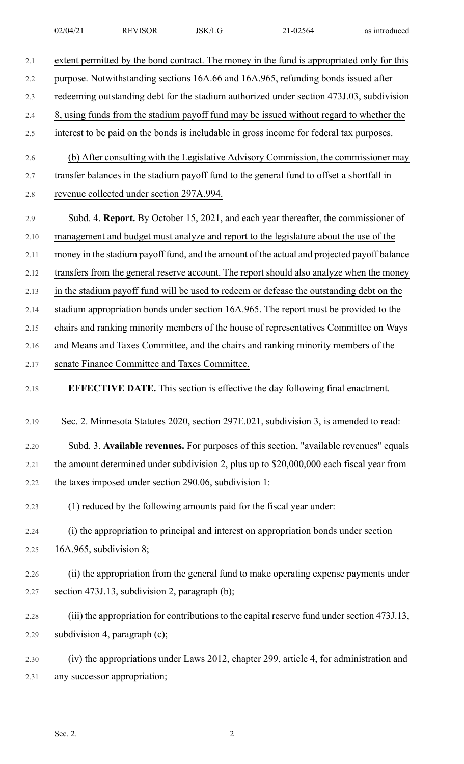| 2.1  | extent permitted by the bond contract. The money in the fund is appropriated only for this   |
|------|----------------------------------------------------------------------------------------------|
| 2.2  | purpose. Notwithstanding sections 16A.66 and 16A.965, refunding bonds issued after           |
| 2.3  | redeeming outstanding debt for the stadium authorized under section 473J.03, subdivision     |
| 2.4  | 8, using funds from the stadium payoff fund may be issued without regard to whether the      |
| 2.5  | interest to be paid on the bonds is includable in gross income for federal tax purposes.     |
| 2.6  | (b) After consulting with the Legislative Advisory Commission, the commissioner may          |
| 2.7  | transfer balances in the stadium payoff fund to the general fund to offset a shortfall in    |
| 2.8  | revenue collected under section 297A.994.                                                    |
| 2.9  | Subd. 4. Report. By October 15, 2021, and each year thereafter, the commissioner of          |
| 2.10 | management and budget must analyze and report to the legislature about the use of the        |
| 2.11 | money in the stadium payoff fund, and the amount of the actual and projected payoff balance  |
| 2.12 | transfers from the general reserve account. The report should also analyze when the money    |
| 2.13 | in the stadium payoff fund will be used to redeem or defease the outstanding debt on the     |
| 2.14 | stadium appropriation bonds under section 16A.965. The report must be provided to the        |
| 2.15 | chairs and ranking minority members of the house of representatives Committee on Ways        |
| 2.16 | and Means and Taxes Committee, and the chairs and ranking minority members of the            |
| 2.17 | senate Finance Committee and Taxes Committee.                                                |
| 2.18 | <b>EFFECTIVE DATE.</b> This section is effective the day following final enactment.          |
| 2.19 | Sec. 2. Minnesota Statutes 2020, section 297E.021, subdivision 3, is amended to read:        |
| 2.20 | Subd. 3. Available revenues. For purposes of this section, "available revenues" equals       |
| 2.21 | the amount determined under subdivision $2$ , plus up to \$20,000,000 each fiscal year from  |
| 2.22 | the taxes imposed under section 290.06, subdivision 1:                                       |
| 2.23 | (1) reduced by the following amounts paid for the fiscal year under:                         |
| 2.24 | (i) the appropriation to principal and interest on appropriation bonds under section         |
| 2.25 | 16A.965, subdivision 8;                                                                      |
| 2.26 | (ii) the appropriation from the general fund to make operating expense payments under        |
| 2.27 | section 473J.13, subdivision 2, paragraph (b);                                               |
| 2.28 | (iii) the appropriation for contributions to the capital reserve fund under section 473J.13, |
| 2.29 |                                                                                              |
|      | subdivision 4, paragraph (c);                                                                |
| 2.30 | (iv) the appropriations under Laws 2012, chapter 299, article 4, for administration and      |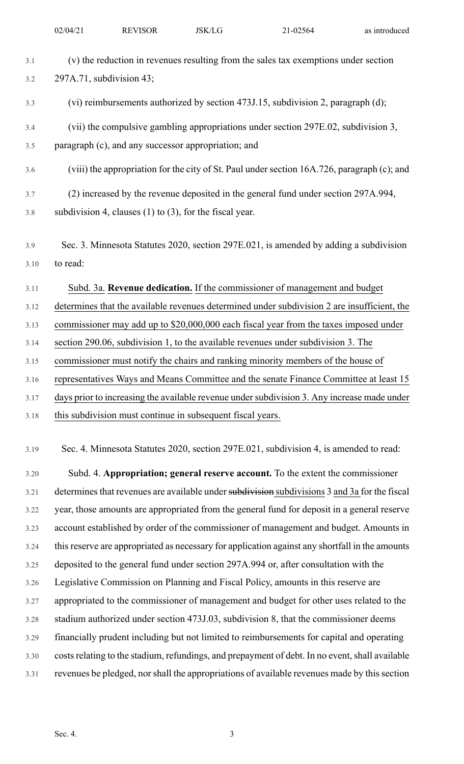| 3.1  | (v) the reduction in revenues resulting from the sales tax exemptions under section             |
|------|-------------------------------------------------------------------------------------------------|
| 3.2  | 297A.71, subdivision 43;                                                                        |
| 3.3  | (vi) reimbursements authorized by section 473J.15, subdivision 2, paragraph (d);                |
| 3.4  | (vii) the compulsive gambling appropriations under section 297E.02, subdivision 3,              |
| 3.5  | paragraph (c), and any successor appropriation; and                                             |
| 3.6  | (viii) the appropriation for the city of St. Paul under section 16A.726, paragraph (c); and     |
| 3.7  | (2) increased by the revenue deposited in the general fund under section 297A.994,              |
| 3.8  | subdivision 4, clauses $(1)$ to $(3)$ , for the fiscal year.                                    |
| 3.9  | Sec. 3. Minnesota Statutes 2020, section 297E.021, is amended by adding a subdivision           |
| 3.10 | to read:                                                                                        |
| 3.11 | Subd. 3a. Revenue dedication. If the commissioner of management and budget                      |
| 3.12 | determines that the available revenues determined under subdivision 2 are insufficient, the     |
| 3.13 | commissioner may add up to \$20,000,000 each fiscal year from the taxes imposed under           |
| 3.14 | section 290.06, subdivision 1, to the available revenues under subdivision 3. The               |
| 3.15 | commissioner must notify the chairs and ranking minority members of the house of                |
| 3.16 | representatives Ways and Means Committee and the senate Finance Committee at least 15           |
| 3.17 | days prior to increasing the available revenue under subdivision 3. Any increase made under     |
| 3.18 | this subdivision must continue in subsequent fiscal years.                                      |
| 3.19 | Sec. 4. Minnesota Statutes 2020, section 297E.021, subdivision 4, is amended to read:           |
| 3.20 | Subd. 4. Appropriation; general reserve account. To the extent the commissioner                 |
| 3.21 | determines that revenues are available under subdivisions subdivisions 3 and 3 a for the fiscal |
| 3.22 | year, those amounts are appropriated from the general fund for deposit in a general reserve     |
| 3.23 | account established by order of the commissioner of management and budget. Amounts in           |
| 3.24 | this reserve are appropriated as necessary for application against any shortfall in the amounts |
| 3.25 | deposited to the general fund under section 297A.994 or, after consultation with the            |
| 3.26 | Legislative Commission on Planning and Fiscal Policy, amounts in this reserve are               |
| 3.27 | appropriated to the commissioner of management and budget for other uses related to the         |
| 3.28 | stadium authorized under section 473J.03, subdivision 8, that the commissioner deems            |
| 3.29 | financially prudent including but not limited to reimbursements for capital and operating       |
| 3.30 | costs relating to the stadium, refundings, and prepayment of debt. In no event, shall available |
| 3.31 | revenues be pledged, nor shall the appropriations of available revenues made by this section    |